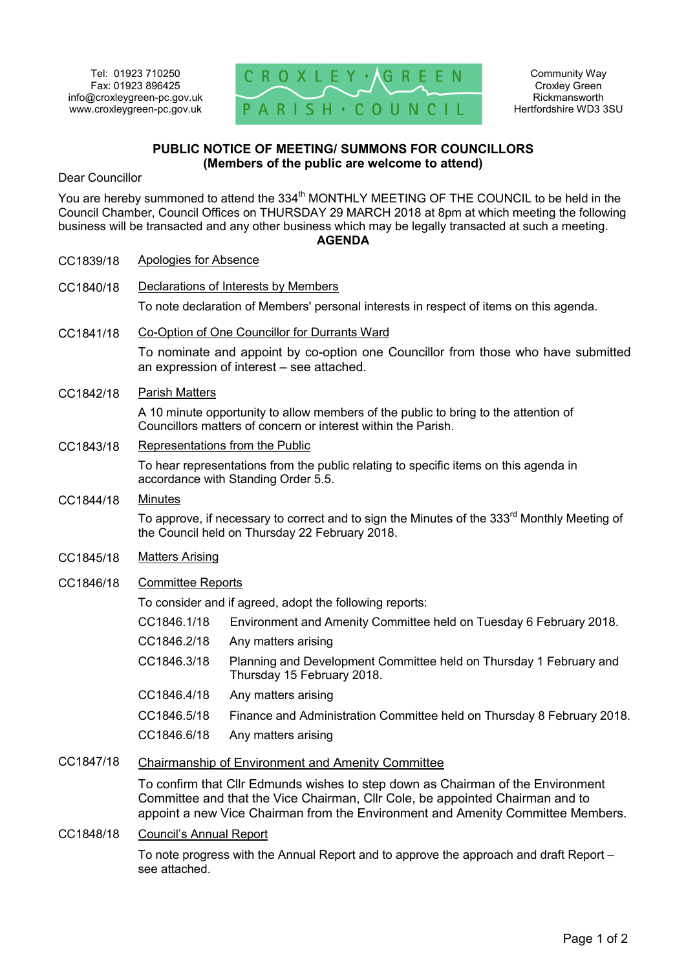

## **PUBLIC NOTICE OF MEETING/ SUMMONS FOR COUNCILLORS (Members of the public are welcome to attend)**

Dear Councillor

You are hereby summoned to attend the 334<sup>th</sup> MONTHLY MEETING OF THE COUNCIL to be held in the Council Chamber, Council Offices on THURSDAY 29 MARCH 2018 at 8pm at which meeting the following business will be transacted and any other business which may be legally transacted at such a meeting. **AGENDA** 

| CC1839/18 | <b>Apologies for Absence</b>                                                                                                                              |                                                                                                  |
|-----------|-----------------------------------------------------------------------------------------------------------------------------------------------------------|--------------------------------------------------------------------------------------------------|
| CC1840/18 | Declarations of Interests by Members                                                                                                                      |                                                                                                  |
|           |                                                                                                                                                           | To note declaration of Members' personal interests in respect of items on this agenda.           |
| CC1841/18 | Co-Option of One Councillor for Durrants Ward                                                                                                             |                                                                                                  |
|           | To nominate and appoint by co-option one Councillor from those who have submitted<br>an expression of interest - see attached.                            |                                                                                                  |
| CC1842/18 | <b>Parish Matters</b>                                                                                                                                     |                                                                                                  |
|           | A 10 minute opportunity to allow members of the public to bring to the attention of<br>Councillors matters of concern or interest within the Parish.      |                                                                                                  |
| CC1843/18 | Representations from the Public                                                                                                                           |                                                                                                  |
|           | To hear representations from the public relating to specific items on this agenda in<br>accordance with Standing Order 5.5.                               |                                                                                                  |
| CC1844/18 | <b>Minutes</b>                                                                                                                                            |                                                                                                  |
|           | To approve, if necessary to correct and to sign the Minutes of the 333 <sup>rd</sup> Monthly Meeting of<br>the Council held on Thursday 22 February 2018. |                                                                                                  |
| CC1845/18 | <b>Matters Arising</b>                                                                                                                                    |                                                                                                  |
| CC1846/18 | <b>Committee Reports</b>                                                                                                                                  |                                                                                                  |
|           |                                                                                                                                                           | To consider and if agreed, adopt the following reports:                                          |
|           | CC1846.1/18                                                                                                                                               | Environment and Amenity Committee held on Tuesday 6 February 2018.                               |
|           | CC1846.2/18                                                                                                                                               | Any matters arising                                                                              |
|           | CC1846.3/18                                                                                                                                               | Planning and Development Committee held on Thursday 1 February and<br>Thursday 15 February 2018. |
|           | CC1846.4/18                                                                                                                                               | Any matters arising                                                                              |
|           | CC1846.5/18                                                                                                                                               | Finance and Administration Committee held on Thursday 8 February 2018.                           |
|           | CC1846.6/18                                                                                                                                               | Any matters arising                                                                              |
| CC1847/18 | <b>Chairmanship of Environment and Amenity Committee</b>                                                                                                  |                                                                                                  |
|           | To confirm that Cllr Edmunds wishes to step down as Chairman of the Environment                                                                           |                                                                                                  |

Committee and that the Vice Chairman, Cllr Cole, be appointed Chairman and to appoint a new Vice Chairman from the Environment and Amenity Committee Members.

CC1848/18 Council's Annual Report

To note progress with the Annual Report and to approve the approach and draft Report – see attached.